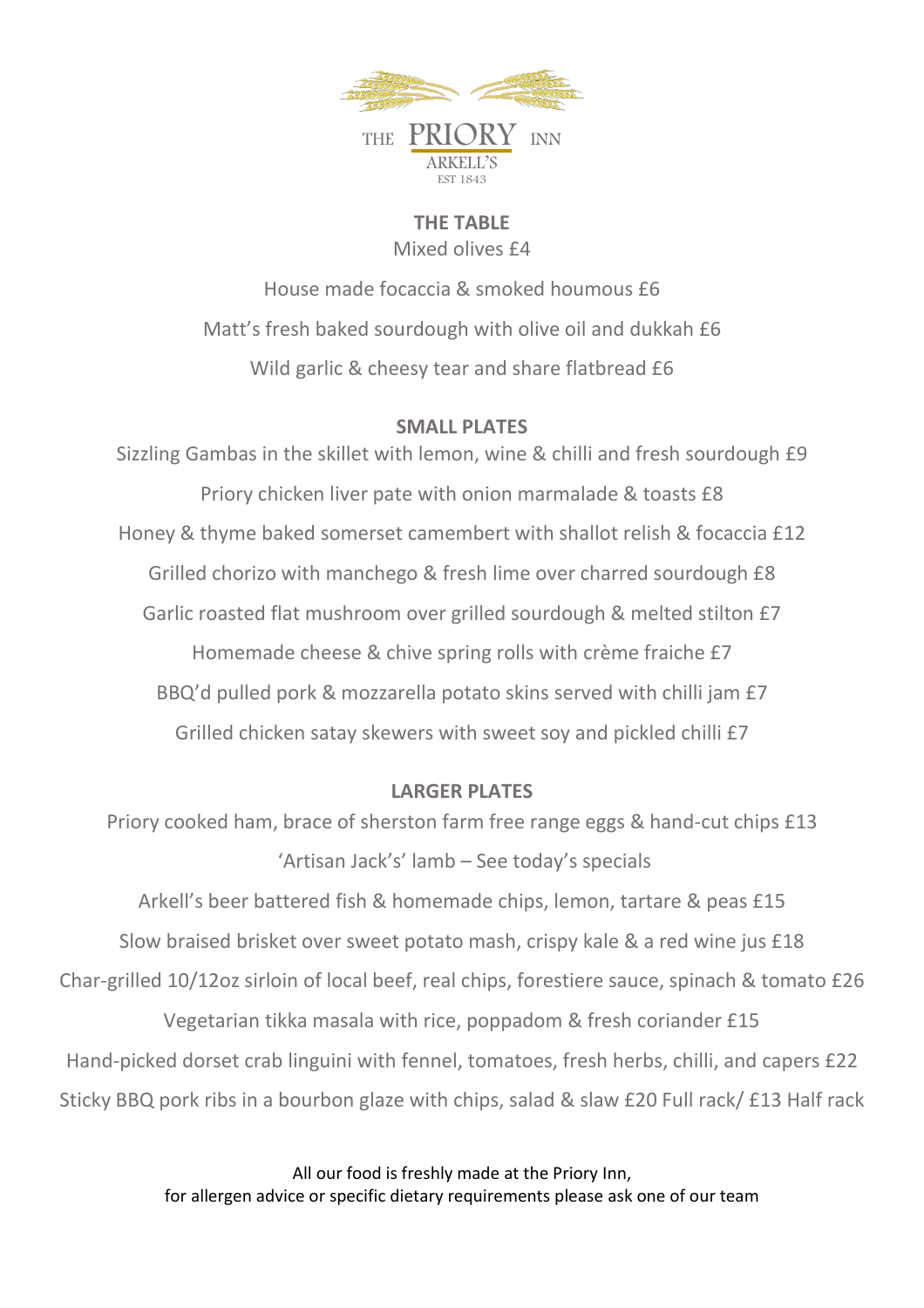

**THE TABLE** Mixed olives £4

House made focaccia & smoked houmous £6 Matt's fresh baked sourdough with olive oil and dukkah £6 Wild garlic & cheesy tear and share flatbread £6

### **SMALL PLATES**

Sizzling Gambas in the skillet with lemon, wine & chilli and fresh sourdough £9 Priory chicken liver pate with onion marmalade & toasts £8 Honey & thyme baked somerset camembert with shallot relish & focaccia £12 Grilled chorizo with manchego & fresh lime over charred sourdough £8 Garlic roasted flat mushroom over grilled sourdough & melted stilton £7 Homemade cheese & chive spring rolls with crème fraiche £7 BBQ'd pulled pork & mozzarella potato skins served with chilli jam £7 Grilled chicken satay skewers with sweet soy and pickled chilli £7

### **LARGER PLATES**

Priory cooked ham, brace of sherston farm free range eggs & hand-cut chips £13 'Artisan Jack's' lamb – See today's specials

Arkell's beer battered fish & homemade chips, lemon, tartare & peas £15 Slow braised brisket over sweet potato mash, crispy kale & a red wine jus £18 Char-grilled 10/12oz sirloin of local beef, real chips, forestiere sauce, spinach & tomato £26 Vegetarian tikka masala with rice, poppadom & fresh coriander £15 Hand-picked dorset crab linguini with fennel, tomatoes, fresh herbs, chilli, and capers £22 Sticky BBQ pork ribs in a bourbon glaze with chips, salad & slaw £20 Full rack/ £13 Half rack

> All our food is freshly made at the Priory Inn, for allergen advice or specific dietary requirements please ask one of our team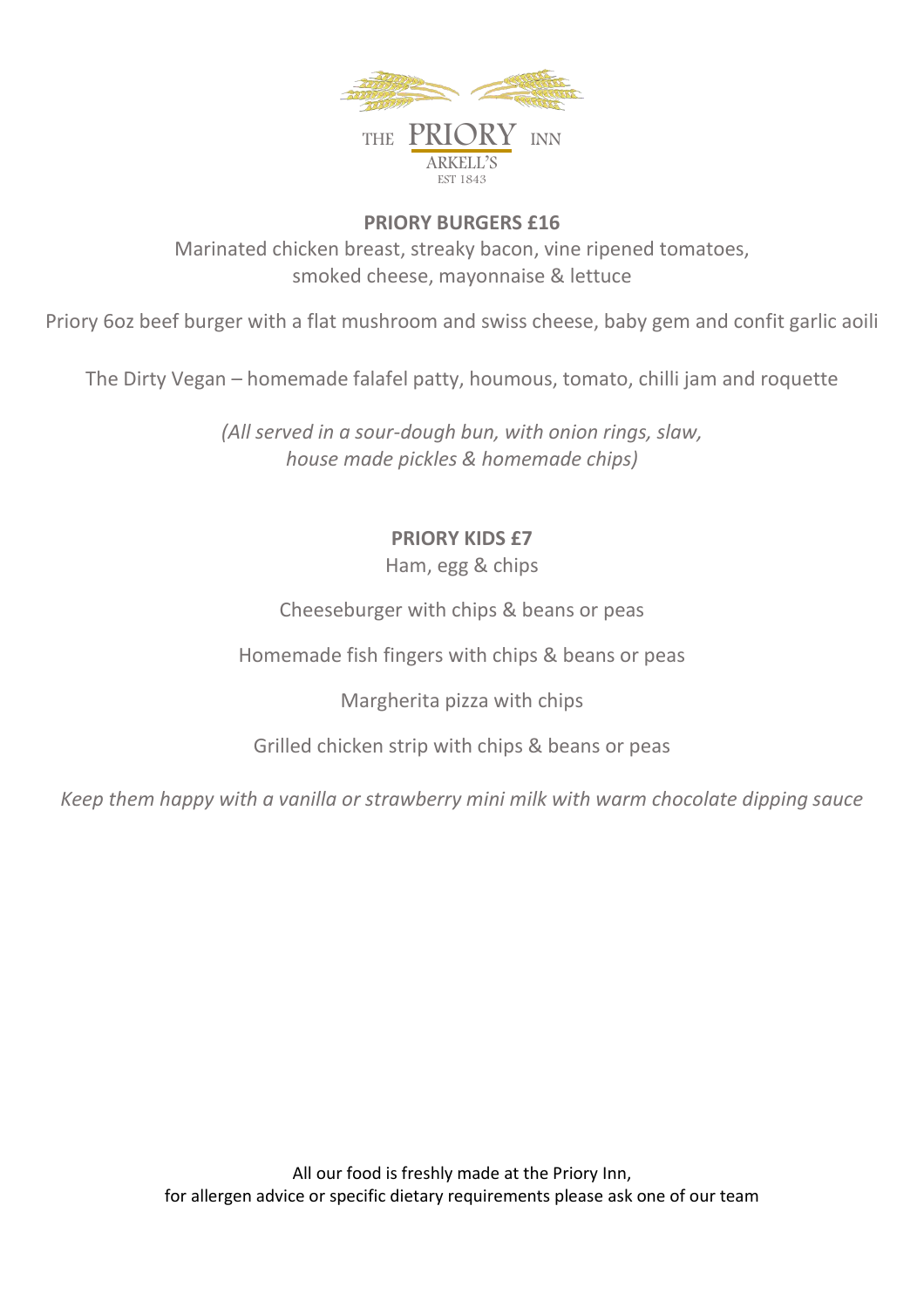

## **PRIORY BURGERS £16** Marinated chicken breast, streaky bacon, vine ripened tomatoes, smoked cheese, mayonnaise & lettuce

Priory 6oz beef burger with a flat mushroom and swiss cheese, baby gem and confit garlic aoili

The Dirty Vegan – homemade falafel patty, houmous, tomato, chilli jam and roquette

*(All served in a sour-dough bun, with onion rings, slaw, house made pickles & homemade chips)*

# **PRIORY KIDS £7**

Ham, egg & chips

Cheeseburger with chips & beans or peas

Homemade fish fingers with chips & beans or peas

Margherita pizza with chips

Grilled chicken strip with chips & beans or peas

*Keep them happy with a vanilla or strawberry mini milk with warm chocolate dipping sauce*